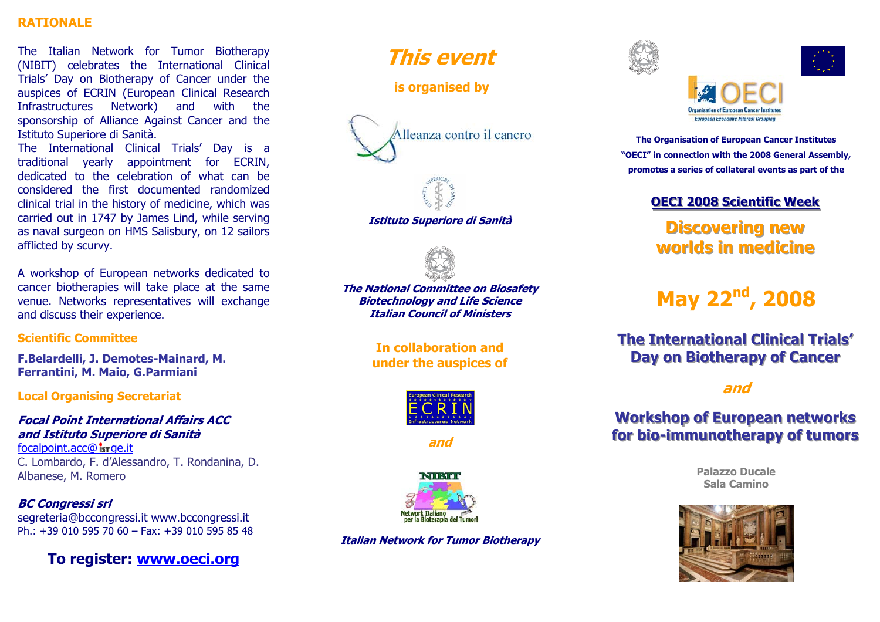### **RATIONALE**

The Italian Network for Tumor Biotherapy (NIBIT) celebrates the International Clinical Trials' Day on Biotherapy of Cancer under the auspices of ECRIN (European Clinical Research Infrastructures Network) and with the sponsorship of Alliance Against Cancer and the Istituto Superiore di Sanità.

The International Clinical Trials' Day is a traditional yearly appointment for ECRIN, dedicated to the celebration of what can be considered the first documented randomized clinical trial in the history of medicine, which was carried out in 1747 by James Lind, while serving as naval surgeon on HMS Salisbury, on 12 sailors afflicted by scurvy.

A workshop of European networks dedicated to cancer biotherapies will take place at the same venue. Networks representatives will exchange and discuss their experience.

### **Scientific Committee**

**F.Belardelli, J. Demotes-Mainard, M. Ferrantini, M. Maio, G.Parmiani**

### **Local Organising Secretariat**

### **Focal Point International Affairs ACC and Istituto Superiore di Sanità**

 $focalpoint.acc@$  is r ge.it C. Lombardo, F. d'Alessandro, T. Rondanina, D. Albanese, M. Romero

## **BC Congressi srl**  segreteria@bccongressi.it www.bccongressi.it

Ph.: +39 010 595 70 60 – Fax: +39 010 595 85 48

**To register: www.oeci.org**

# **This event**

 **is organised by** 





**Istituto Superiore di Sanità** 



**The National Committee on Biosafety Biotechnology and Life Science Italian Council of Ministers** 

> **In collaboration and under the auspices of**



**and** 



**Italian Network for Tumor Biotherapy** 





**The Organisation of European Cancer Institutes "OECI" in connection with the 2008 General Assembly, promotes a series of collateral events as part of the** 

# **OECI 2008 Scientific Week**

# **Discovering new worlds in medicine**

# **May 22nd, 2008**

# **The International Clinical Trials' Day on Biotherapy of Cancer**

**and** 

# **Workshop of European networks** for bio-immunotherapy of tumors

**Palazzo Ducale Sala Camino**